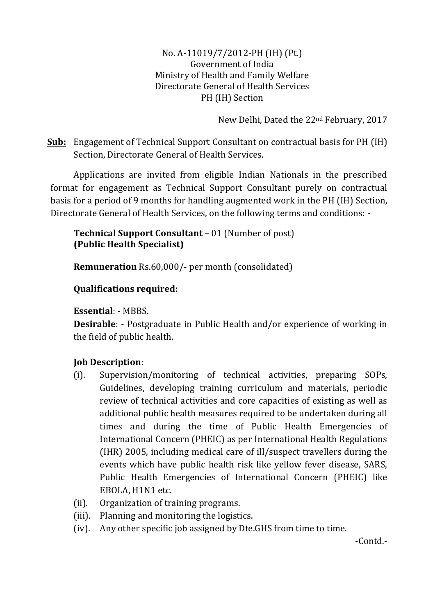No. A-11019/7/2012-PH (IH) (Pt.) Government of India Ministry of Health and Family Welfare Directorate General of Health Services PH (IH) Section

New Delhi, Dated the 22nd February, 2017

**Sub:** Engagement of Technical Support Consultant on contractual basis for PH (IH) Section, Directorate General of Health Services.

Applications are invited from eligible Indian Nationals in the prescribed format for engagement as Technical Support Consultant purely on contractual basis for a period of 9 months for handling augmented work in the PH (IH) Section, Directorate General of Health Services, on the following terms and conditions: -

**Technical Support Consultant** – 01 (Number of post) **(Public Health Specialist)**

**Remuneration** Rs.60,000/- per month (consolidated)

# **Qualifications required:**

### **Essential**: - MBBS.

**Desirable**: - Postgraduate in Public Health and/or experience of working in the field of public health.

## **Job Description**:

- (i). Supervision/monitoring of technical activities, preparing SOPs, Guidelines, developing training curriculum and materials, periodic review of technical activities and core capacities of existing as well as additional public health measures required to be undertaken during all times and during the time of Public Health Emergencies of International Concern (PHEIC) as per International Health Regulations (IHR) 2005, including medical care of ill/suspect travellers during the events which have public health risk like yellow fever disease, SARS, Public Health Emergencies of International Concern (PHEIC) like EBOLA, H1N1 etc.
- (ii). Organization of training programs.
- (iii). Planning and monitoring the logistics.
- (iv). Any other specific job assigned by Dte.GHS from time to time.

-Contd.-